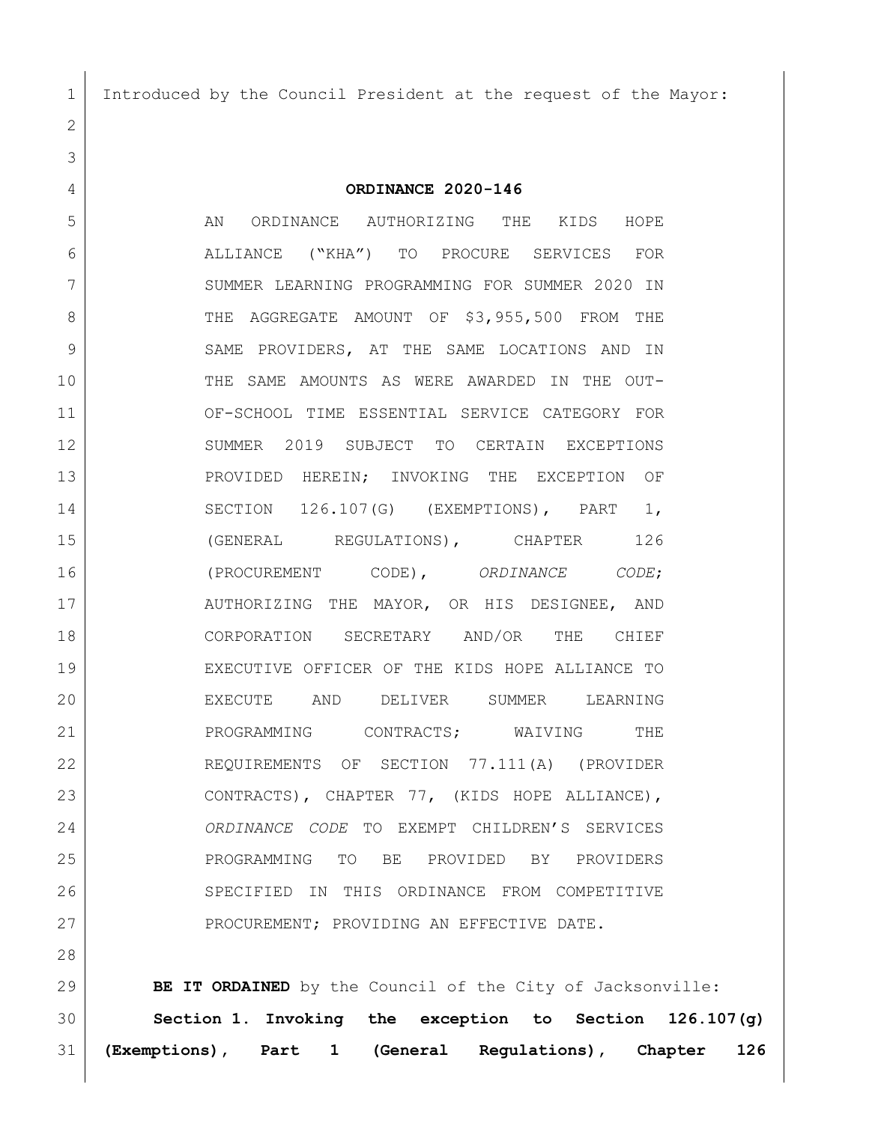Introduced by the Council President at the request of the Mayor:

**ORDINANCE 2020-146**

 AN ORDINANCE AUTHORIZING THE KIDS HOPE ALLIANCE ("KHA") TO PROCURE SERVICES FOR SUMMER LEARNING PROGRAMMING FOR SUMMER 2020 IN 8 THE AGGREGATE AMOUNT OF \$3,955,500 FROM THE 9 SAME PROVIDERS, AT THE SAME LOCATIONS AND IN THE SAME AMOUNTS AS WERE AWARDED IN THE OUT- OF-SCHOOL TIME ESSENTIAL SERVICE CATEGORY FOR SUMMER 2019 SUBJECT TO CERTAIN EXCEPTIONS PROVIDED HEREIN; INVOKING THE EXCEPTION OF SECTION 126.107(G) (EXEMPTIONS), PART 1, 15 (GENERAL REGULATIONS), CHAPTER 126 (PROCUREMENT CODE), *ORDINANCE CODE*; 17 AUTHORIZING THE MAYOR, OR HIS DESIGNEE, AND CORPORATION SECRETARY AND/OR THE CHIEF EXECUTIVE OFFICER OF THE KIDS HOPE ALLIANCE TO EXECUTE AND DELIVER SUMMER LEARNING 21 PROGRAMMING CONTRACTS; WAIVING THE REQUIREMENTS OF SECTION 77.111(A) (PROVIDER CONTRACTS), CHAPTER 77, (KIDS HOPE ALLIANCE), *ORDINANCE CODE* TO EXEMPT CHILDREN'S SERVICES PROGRAMMING TO BE PROVIDED BY PROVIDERS SPECIFIED IN THIS ORDINANCE FROM COMPETITIVE 27 PROCUREMENT; PROVIDING AN EFFECTIVE DATE.

 **BE IT ORDAINED** by the Council of the City of Jacksonville: **Section 1. Invoking the exception to Section 126.107(g) (Exemptions), Part 1 (General Regulations), Chapter 126**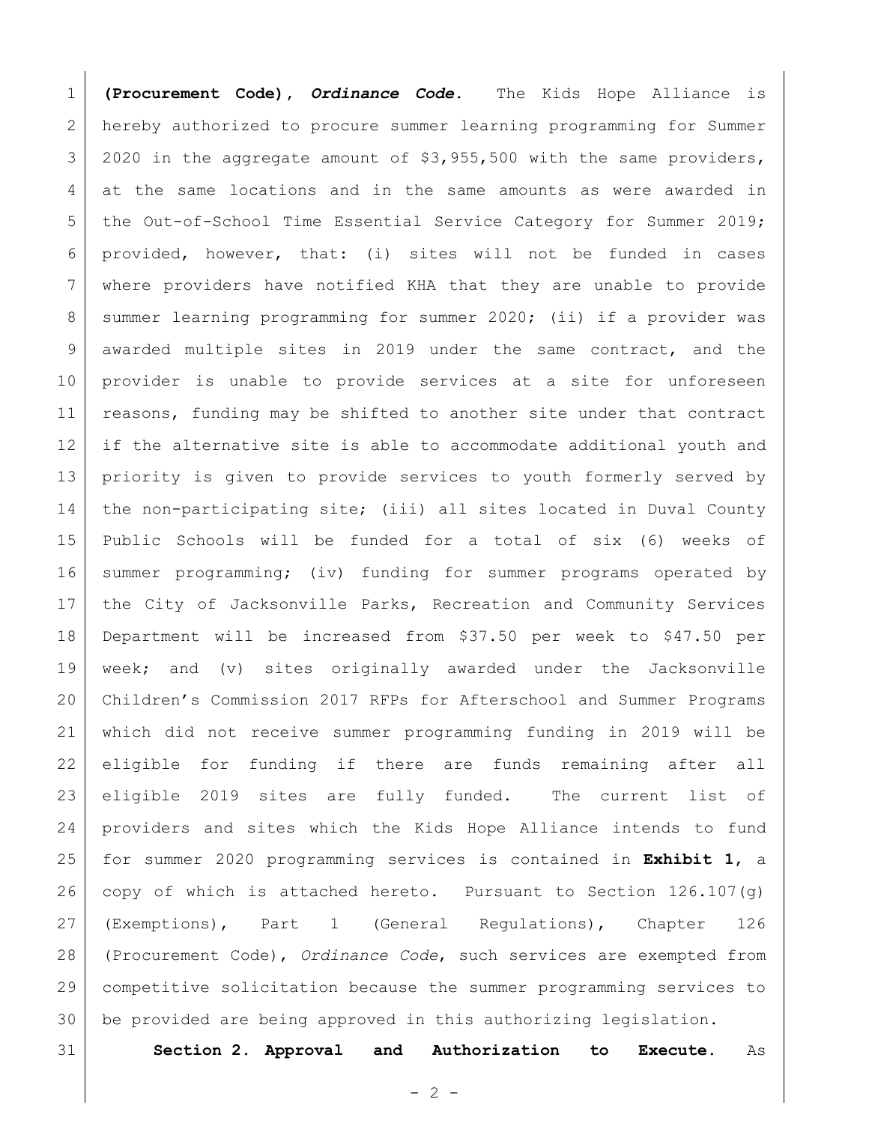**(Procurement Code),** *Ordinance Code***.** The Kids Hope Alliance is hereby authorized to procure summer learning programming for Summer 2020 in the aggregate amount of \$3,955,500 with the same providers, at the same locations and in the same amounts as were awarded in 5 | the Out-of-School Time Essential Service Category for Summer 2019; provided, however, that: (i) sites will not be funded in cases where providers have notified KHA that they are unable to provide 8 Summer learning programming for summer 2020; (ii) if a provider was awarded multiple sites in 2019 under the same contract, and the provider is unable to provide services at a site for unforeseen 11 | reasons, funding may be shifted to another site under that contract if the alternative site is able to accommodate additional youth and priority is given to provide services to youth formerly served by the non-participating site; (iii) all sites located in Duval County Public Schools will be funded for a total of six (6) weeks of summer programming; (iv) funding for summer programs operated by the City of Jacksonville Parks, Recreation and Community Services Department will be increased from \$37.50 per week to \$47.50 per week; and (v) sites originally awarded under the Jacksonville Children's Commission 2017 RFPs for Afterschool and Summer Programs which did not receive summer programming funding in 2019 will be eligible for funding if there are funds remaining after all eligible 2019 sites are fully funded. The current list of providers and sites which the Kids Hope Alliance intends to fund for summer 2020 programming services is contained in **Exhibit 1**, a 26 copy of which is attached hereto. Pursuant to Section  $126.107(q)$  (Exemptions), Part 1 (General Regulations), Chapter 126 (Procurement Code), *Ordinance Code*, such services are exempted from competitive solicitation because the summer programming services to be provided are being approved in this authorizing legislation.

**Section 2. Approval and Authorization to Execute.** As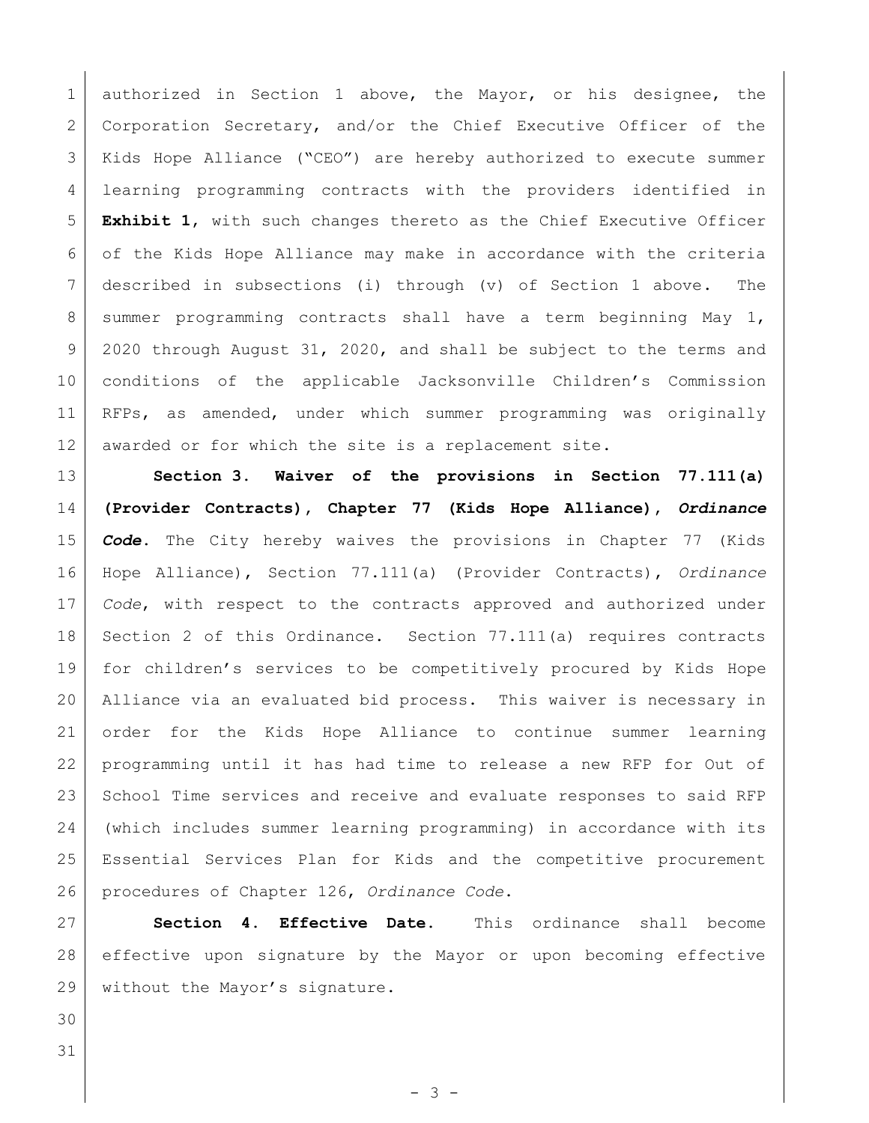1 authorized in Section 1 above, the Mayor, or his designee, the 2 Corporation Secretary, and/or the Chief Executive Officer of the Kids Hope Alliance ("CEO") are hereby authorized to execute summer learning programming contracts with the providers identified in **Exhibit 1**, with such changes thereto as the Chief Executive Officer of the Kids Hope Alliance may make in accordance with the criteria described in subsections (i) through (v) of Section 1 above. The 8 summer programming contracts shall have a term beginning May 1, 2020 through August 31, 2020, and shall be subject to the terms and conditions of the applicable Jacksonville Children's Commission RFPs, as amended, under which summer programming was originally 12 awarded or for which the site is a replacement site.

 **Section 3. Waiver of the provisions in Section 77.111(a) (Provider Contracts), Chapter 77 (Kids Hope Alliance),** *Ordinance Code***.** The City hereby waives the provisions in Chapter 77 (Kids Hope Alliance), Section 77.111(a) (Provider Contracts), *Ordinance Code*, with respect to the contracts approved and authorized under Section 2 of this Ordinance. Section 77.111(a) requires contracts for children's services to be competitively procured by Kids Hope Alliance via an evaluated bid process. This waiver is necessary in order for the Kids Hope Alliance to continue summer learning programming until it has had time to release a new RFP for Out of School Time services and receive and evaluate responses to said RFP (which includes summer learning programming) in accordance with its Essential Services Plan for Kids and the competitive procurement procedures of Chapter 126, *Ordinance Code*.

 **Section 4. Effective Date.** This ordinance shall become effective upon signature by the Mayor or upon becoming effective 29 without the Mayor's signature.